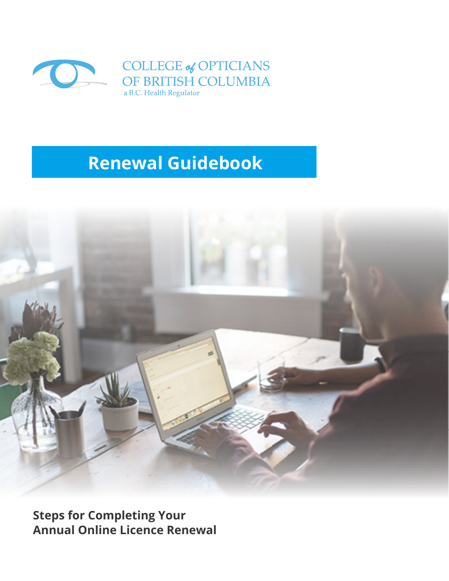

## **Renewal Guidebook**



**Steps for Completing Your Annual Online Licence Renewal**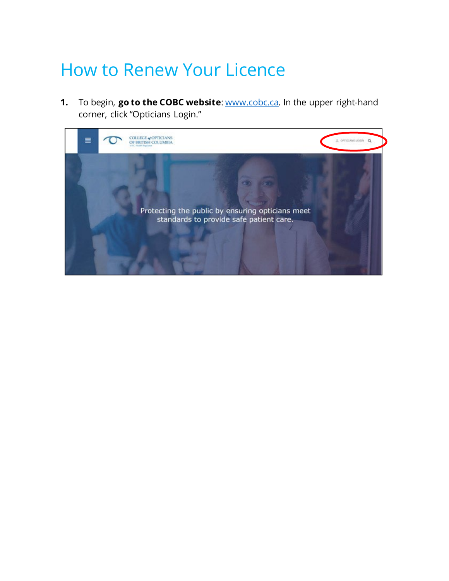# How to Renew Your Licence

**1.** To begin, **go to the COBC website**: www.cobc.ca. In the upper right-hand corner, click "Opticians Login."

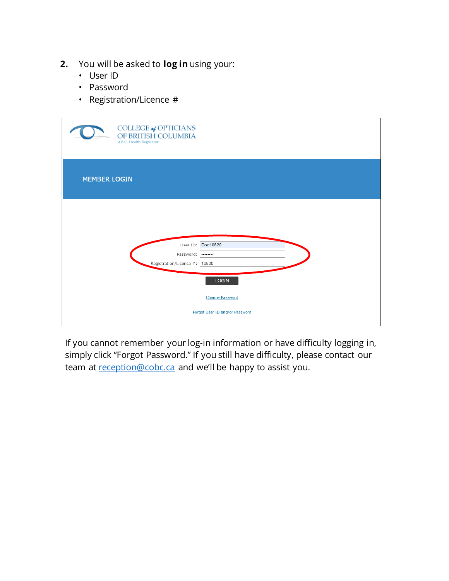- **2.** You will be asked to **log in** using your:
	- User ID
	- Password
	- Registration/Licence #

| COLLEGE of OPTICIANS<br>OF BRITISH COLUMBIA<br>a B.C. Health Regulator |                                                                                          |
|------------------------------------------------------------------------|------------------------------------------------------------------------------------------|
| <b>MEMBER LOGIN</b>                                                    |                                                                                          |
| User ID:<br>Password:<br>Registration/Licence #: 10820                 | Doe10820<br><br><b>LOGIN</b><br><b>Change Password</b><br>Forgot User ID and/or Password |

If you cannot remember your log-in information or have difficulty logging in, simply click "Forgot Password." If you still have difficulty, please contact our team at [reception@cobc.ca](mailto:reception@cobc.ca) and we'll be happy to assist you.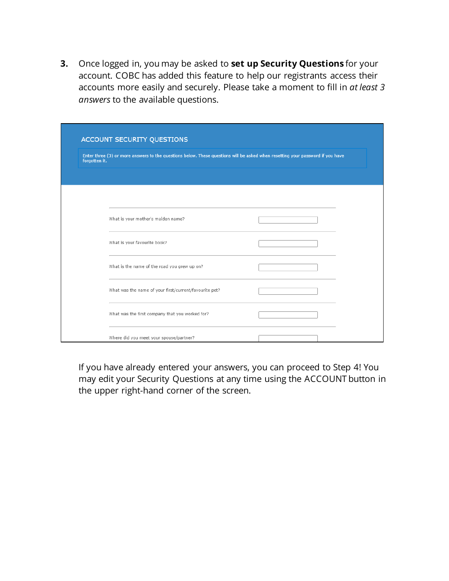**3.** Once logged in, you may be asked to **set up Security Questions** for your account. COBC has added this feature to help our registrants access their accounts more easily and securely. Please take a moment to fill in *at least 3 answers* to the available questions.

|               | ACCOUNT SECURITY QUESTIONS                                                                                                     |  |
|---------------|--------------------------------------------------------------------------------------------------------------------------------|--|
| forgotten it. | Enter three (3) or more answers to the questions below. These questions will be asked when resetting your password if you have |  |
|               |                                                                                                                                |  |
|               |                                                                                                                                |  |
|               | What is your mother's maiden name?                                                                                             |  |
|               | What is your favourite book?                                                                                                   |  |
|               | What is the name of the road you grew up on?                                                                                   |  |
|               | What was the name of your first/current/favourite pet?                                                                         |  |
|               | What was the first company that you worked for?                                                                                |  |
|               | Where did you meet your spouse/partner?                                                                                        |  |

If you have already entered your answers, you can proceed to Step 4! You may edit your Security Questions at any time using the ACCOUNT button in the upper right-hand corner of the screen.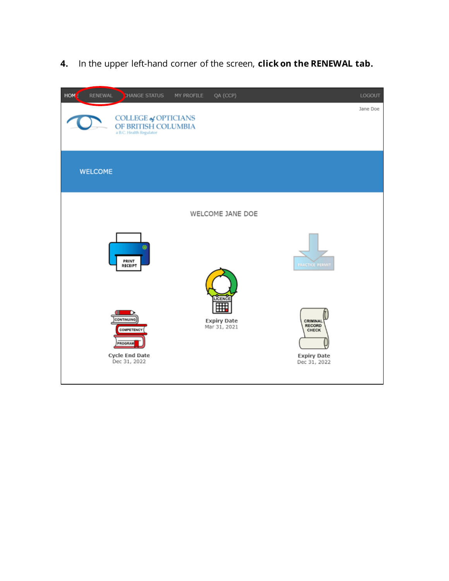**4.** In the upper left-hand corner of the screen, **click on the RENEWAL tab.**

| <b>HOM</b><br><b>RENEWAL</b> | <b>HANGE STATUS</b><br>QA (CCP)<br>MY PROFILE                                                                                                                                                                                        | LOGOUT   |
|------------------------------|--------------------------------------------------------------------------------------------------------------------------------------------------------------------------------------------------------------------------------------|----------|
|                              | COLLEGE of OPTICIANS<br>OF BRITISH COLUMBIA<br>a B.C. Health Regulator                                                                                                                                                               | Jane Doe |
| <b>WELCOME</b>               |                                                                                                                                                                                                                                      |          |
|                              | WELCOME JANE DOE                                                                                                                                                                                                                     |          |
|                              | PRINT<br><b>PRACTICE PERMIT</b><br>RECEIPT                                                                                                                                                                                           |          |
|                              | LICENCE<br>囲<br>ill.<br><b>CONTINUING</b><br><b>Expiry Date</b><br>CRIMINAL<br><b>RECORD</b><br>Mar 31, 2021<br><b>COMPETENCY</b><br>CHECK<br>PROGRAM<br><b>Cycle End Date</b><br><b>Expiry Date</b><br>Dec 31, 2022<br>Dec 31, 2022 |          |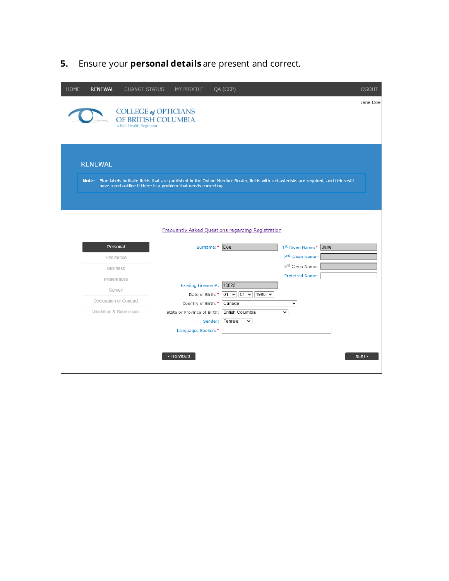**5.** Ensure your **personal details** are present and correct.

| <b>HOME</b> | <b>RENEWAL</b>          | <b>CHANGE STATUS</b>                                                          | MY PROFILE                  | QA (CCP)                                                                                                                                  |                             | <b>LOGOUT</b> |
|-------------|-------------------------|-------------------------------------------------------------------------------|-----------------------------|-------------------------------------------------------------------------------------------------------------------------------------------|-----------------------------|---------------|
|             |                         | <b>COLLEGE of OPTICIANS</b><br>OF BRITISH COLUMBIA<br>a B.C. Health Regulator |                             |                                                                                                                                           |                             | Jane Doe      |
|             | <b>RENEWAL</b>          | have a red outline if there is a problem that needs correcting.               |                             | Note: Blue labels indicate fields that are published in the Online Member Roster, fields with red asterisks are required, and fields will |                             |               |
|             | Personal                |                                                                               |                             | <b>Frequently Asked Questions regarding Registration</b><br>Surname:* Doe                                                                 | 1st Given Name:*            | Jane          |
|             | Residence               |                                                                               |                             |                                                                                                                                           | 2 <sup>nd</sup> Given Name: |               |
|             | <b>Business</b>         |                                                                               |                             |                                                                                                                                           | 3rd Given Name:             |               |
|             | Preferences             |                                                                               |                             |                                                                                                                                           | Preferred Name:             |               |
|             | Survey                  |                                                                               | Existing Licence #: 10820   |                                                                                                                                           |                             |               |
|             | Declaration of Conduct  |                                                                               | Country of Birth:*   Canada | Date of Birth:* 01 v 01 v 1980 v                                                                                                          | $\checkmark$                |               |
|             | Validation & Submission |                                                                               |                             | State or Province of Birth: British Columbia                                                                                              | v                           |               |
|             |                         |                                                                               |                             | Gender: Female<br>$\checkmark$                                                                                                            |                             |               |
|             |                         |                                                                               | Languages Spoken:*          |                                                                                                                                           |                             |               |
|             |                         |                                                                               | < PREVIOUS                  |                                                                                                                                           |                             | NEXT >        |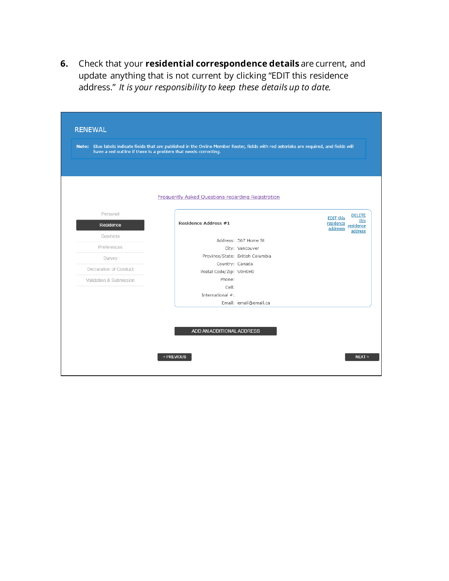**6.** Check that your **residential correspondence details** are current, and update anything that is not current by clicking "EDIT this residence address." *It is your responsibility to keep these details up to date.*

| Note: Blue labels indicate fields that are published in the Online Member Roster, fields with red asterisks are required, and fields will<br>have a red outline if there is a problem that needs correcting. |                                                   |                                  |                                                                                     |
|--------------------------------------------------------------------------------------------------------------------------------------------------------------------------------------------------------------|---------------------------------------------------|----------------------------------|-------------------------------------------------------------------------------------|
|                                                                                                                                                                                                              |                                                   |                                  |                                                                                     |
|                                                                                                                                                                                                              |                                                   |                                  |                                                                                     |
|                                                                                                                                                                                                              | Frequently Asked Questions regarding Registration |                                  |                                                                                     |
| Personal                                                                                                                                                                                                     |                                                   |                                  |                                                                                     |
| Residence                                                                                                                                                                                                    | <b>Residence Address #1</b>                       |                                  | <b>DELETE</b><br>EDIT this<br>this<br>residence<br>residence<br>addresss<br>address |
| <b>Business</b>                                                                                                                                                                                              |                                                   | Address: 567 Home St             |                                                                                     |
| Preferences                                                                                                                                                                                                  |                                                   | City: Vancouver                  |                                                                                     |
| Survey                                                                                                                                                                                                       |                                                   | Province/State: British Columbia |                                                                                     |
|                                                                                                                                                                                                              | Country: Canada                                   |                                  |                                                                                     |
| Declaration of Conduct                                                                                                                                                                                       | Postal Code/Zip: V0H0H0                           |                                  |                                                                                     |
| Validation & Submission                                                                                                                                                                                      | Phone:                                            |                                  |                                                                                     |
|                                                                                                                                                                                                              | Cell:                                             |                                  |                                                                                     |
|                                                                                                                                                                                                              | International #:                                  |                                  |                                                                                     |
|                                                                                                                                                                                                              |                                                   | Email: email@email.ca            |                                                                                     |
|                                                                                                                                                                                                              |                                                   |                                  |                                                                                     |
|                                                                                                                                                                                                              |                                                   |                                  |                                                                                     |
|                                                                                                                                                                                                              | ADD AN ADDITIONAL ADDRESS                         |                                  |                                                                                     |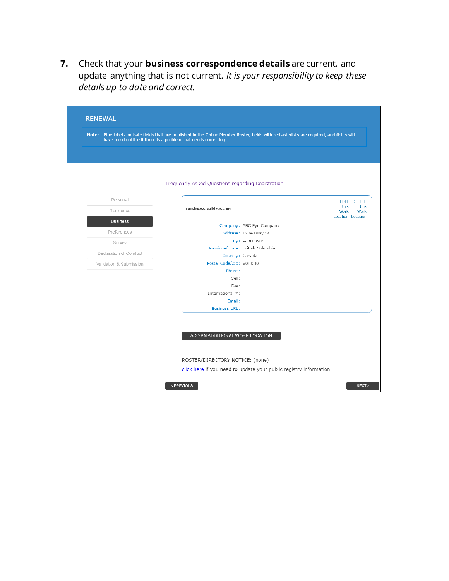**7.** Check that your **business correspondence details** are current, and update anything that is not current. *It is your responsibility to keep these details up to date and correct.*

|                         | have a red outline if there is a problem that needs correcting. | Note: Blue labels indicate fields that are published in the Online Member Roster, fields with red asterisks are required, and fields will |                                                   |
|-------------------------|-----------------------------------------------------------------|-------------------------------------------------------------------------------------------------------------------------------------------|---------------------------------------------------|
|                         |                                                                 |                                                                                                                                           |                                                   |
|                         |                                                                 |                                                                                                                                           |                                                   |
|                         | <b>Frequently Asked Questions regarding Registration</b>        |                                                                                                                                           |                                                   |
|                         |                                                                 |                                                                                                                                           |                                                   |
| Personal                |                                                                 |                                                                                                                                           | <b>EDIT DELETE</b>                                |
| Residence               | <b>Business Address #1</b>                                      |                                                                                                                                           | this<br>this<br>Work<br>Work<br>Location Location |
| <b>Business</b>         |                                                                 | Company: ABC Eye Company                                                                                                                  |                                                   |
| Preferences             |                                                                 | Address: 1234 Busy St                                                                                                                     |                                                   |
| Survey                  |                                                                 | City: Vancouver                                                                                                                           |                                                   |
|                         |                                                                 | Province/State: British Columbia                                                                                                          |                                                   |
| Declaration of Conduct  | Country: Canada                                                 |                                                                                                                                           |                                                   |
| Validation & Submission | Postal Code/Zip: V0H0H0                                         |                                                                                                                                           |                                                   |
|                         | Phone:                                                          |                                                                                                                                           |                                                   |
|                         | Cell:                                                           |                                                                                                                                           |                                                   |
|                         | Fax:                                                            |                                                                                                                                           |                                                   |
|                         | International #:                                                |                                                                                                                                           |                                                   |
|                         | Email:                                                          |                                                                                                                                           |                                                   |
|                         | <b>Business URL:</b>                                            |                                                                                                                                           |                                                   |
|                         |                                                                 |                                                                                                                                           |                                                   |
|                         |                                                                 |                                                                                                                                           |                                                   |
|                         | ADD AN ADDITIONAL WORK LOCATION                                 |                                                                                                                                           |                                                   |
|                         |                                                                 |                                                                                                                                           |                                                   |
|                         |                                                                 |                                                                                                                                           |                                                   |
|                         |                                                                 | ROSTER/DIRECTORY NOTICE: (none)                                                                                                           |                                                   |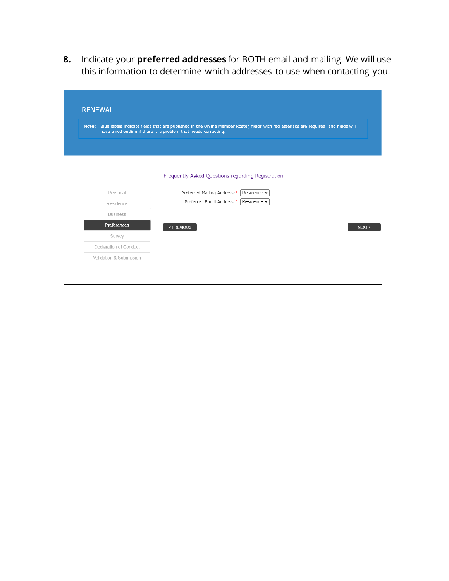**8.** Indicate your **preferred addresses** for BOTH email and mailing. We will use this information to determine which addresses to use when contacting you.

|                         | Note: Blue labels indicate fields that are published in the Online Member Roster, fields with red asterisks are required, and fields will<br>have a red outline if there is a problem that needs correcting. |        |
|-------------------------|--------------------------------------------------------------------------------------------------------------------------------------------------------------------------------------------------------------|--------|
|                         |                                                                                                                                                                                                              |        |
|                         |                                                                                                                                                                                                              |        |
|                         | <b>Frequently Asked Questions regarding Registration</b>                                                                                                                                                     |        |
| Personal                | Preferred Mailing Address:*<br>Residence $\blacktriangleright$                                                                                                                                               |        |
| Residence               | Preferred Email Address:*  <br>Residence v                                                                                                                                                                   |        |
| <b>Business</b>         |                                                                                                                                                                                                              |        |
| Preferences             | < PREVIOUS                                                                                                                                                                                                   | NEXT > |
| Survey                  |                                                                                                                                                                                                              |        |
| Declaration of Conduct  |                                                                                                                                                                                                              |        |
| Validation & Submission |                                                                                                                                                                                                              |        |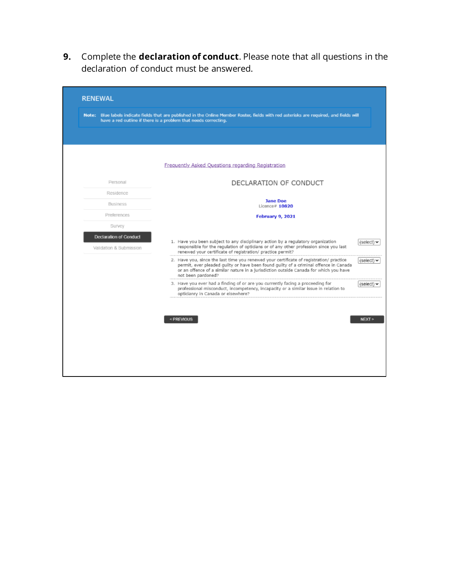**9.** Complete the **declaration of conduct**. Please note that all questions in the declaration of conduct must be answered.

|                               | Note: Blue labels indicate fields that are published in the Online Member Roster, fields with red asterisks are required, and fields will<br>have a red outline if there is a problem that needs correcting.                                                                                                       |
|-------------------------------|--------------------------------------------------------------------------------------------------------------------------------------------------------------------------------------------------------------------------------------------------------------------------------------------------------------------|
|                               |                                                                                                                                                                                                                                                                                                                    |
|                               |                                                                                                                                                                                                                                                                                                                    |
|                               | Frequently Asked Questions regarding Registration                                                                                                                                                                                                                                                                  |
| Personal                      | DECLARATION OF CONDUCT                                                                                                                                                                                                                                                                                             |
| Residence                     |                                                                                                                                                                                                                                                                                                                    |
| <b>Business</b>               | <b>Jane Doe</b><br>Licence# $10820$                                                                                                                                                                                                                                                                                |
| Preferences                   | February 9, 2021                                                                                                                                                                                                                                                                                                   |
| Survey                        |                                                                                                                                                                                                                                                                                                                    |
| <b>Declaration of Conduct</b> | 1. Have you been subject to any disciplinary action by a regulatory organization                                                                                                                                                                                                                                   |
| Validation & Submission       | (select)<br>responsible for the regulation of opticians or of any other profession since you last<br>renewed your certificate of registration/ practice permit?                                                                                                                                                    |
|                               | 2. Have you, since the last time you renewed your certificate of registration/ practice<br>(select) $\vee$<br>permit, ever pleaded guilty or have been found guilty of a criminal offence in Canada<br>or an offence of a similar nature in a jurisdiction outside Canada for which you have<br>not been pardoned? |
|                               | 3. Have you ever had a finding of or are you currently facing a proceeding for<br>(select) $\blacktriangleright$<br>professional misconduct, incompetency, incapacity or a similar issue in relation to<br>opticianry in Canada or elsewhere?                                                                      |
|                               |                                                                                                                                                                                                                                                                                                                    |
|                               | <previous<br>NEXT &gt;</previous<br>                                                                                                                                                                                                                                                                               |
|                               |                                                                                                                                                                                                                                                                                                                    |
|                               |                                                                                                                                                                                                                                                                                                                    |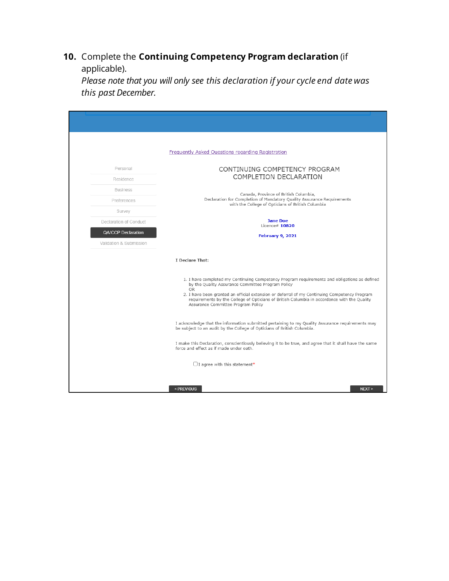### **10.** Complete the **Continuing Competency Program declaration** (if applicable).

*Please note that you will only see this declaration if your cycle end date was this past December.*

|                         | Frequently Asked Questions regarding Registration                                                                                                                                                                                                                                                                                                                                                   |
|-------------------------|-----------------------------------------------------------------------------------------------------------------------------------------------------------------------------------------------------------------------------------------------------------------------------------------------------------------------------------------------------------------------------------------------------|
| Personal                | CONTINUING COMPETENCY PROGRAM                                                                                                                                                                                                                                                                                                                                                                       |
| Residence               | COMPLETION DECLARATION                                                                                                                                                                                                                                                                                                                                                                              |
| <b>Business</b>         | Canada, Province of British Columbia,                                                                                                                                                                                                                                                                                                                                                               |
| Preferences             | Declaration for Completion of Mandatory Quality Assurance Requirements<br>with the College of Opticians of British Columbia                                                                                                                                                                                                                                                                         |
| Survey                  |                                                                                                                                                                                                                                                                                                                                                                                                     |
| Declaration of Conduct  | <b>Jane Doe</b><br>Licence# $10820$                                                                                                                                                                                                                                                                                                                                                                 |
| QA/CCP Declaration      | February 9, 2021                                                                                                                                                                                                                                                                                                                                                                                    |
| Validation & Submission |                                                                                                                                                                                                                                                                                                                                                                                                     |
|                         | I Declare That:                                                                                                                                                                                                                                                                                                                                                                                     |
|                         | 1. I have completed my Continuing Competency Program requirements and obligations as defined<br>by the Quality Assurance Committee Program Policy<br><b>OR</b><br>2. I have been granted an official extension or deferral of my Continuing Competency Program<br>requirements by the College of Opticians of British Columbia in accordance with the Quality<br>Assurance Committee Program Policy |
|                         | I acknowledge that the information submitted pertaining to my Quality Assurance requirements may<br>be subject to an audit by the College of Opticians of British Columbia.                                                                                                                                                                                                                         |
|                         | I make this Declaration, conscientiously believing it to be true, and agree that it shall have the same<br>force and effect as if made under oath.                                                                                                                                                                                                                                                  |
|                         | $\Box$ I agree with this statement*                                                                                                                                                                                                                                                                                                                                                                 |
|                         | < PREVIOUS<br>NEXT                                                                                                                                                                                                                                                                                                                                                                                  |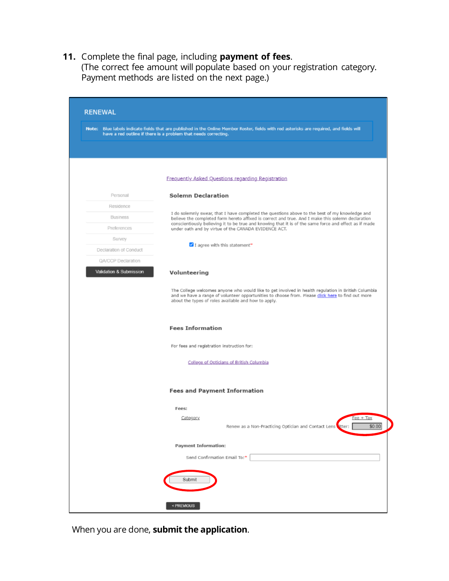**11.** Complete the final page, including **payment of fees**.

(The correct fee amount will populate based on your registration category. Payment methods are listed on the next page.)

|                         | Note: Blue labels indicate fields that are published in the Online Member Roster, fields with red asterisks are required, and fields will<br>have a red outline if there is a problem that needs correcting.                                                     |
|-------------------------|------------------------------------------------------------------------------------------------------------------------------------------------------------------------------------------------------------------------------------------------------------------|
|                         |                                                                                                                                                                                                                                                                  |
|                         | Frequently Asked Questions regarding Registration                                                                                                                                                                                                                |
| Personal                | <b>Solemn Declaration</b>                                                                                                                                                                                                                                        |
| Residence               |                                                                                                                                                                                                                                                                  |
| <b>Business</b>         | I do solemnly swear, that I have completed the questions above to the best of my knowledge and<br>believe the completed form hereto affixed is correct and true. And I make this solemn declaration                                                              |
| Preferences             | conscientiously believing it to be true and knowing that it is of the same force and effect as if made<br>under oath and by virtue of the CANADA EVIDENCE ACT.                                                                                                   |
| Survey                  |                                                                                                                                                                                                                                                                  |
| Declaration of Conduct  | I agree with this statement*                                                                                                                                                                                                                                     |
| QA/CCP Declaration      |                                                                                                                                                                                                                                                                  |
| Validation & Submission | Volunteering                                                                                                                                                                                                                                                     |
|                         | The College welcomes anyone who would like to get involved in health regulation in British Columbia<br>and we have a range of volunteer opportunities to choose from. Please click here to find out more<br>about the types of roles available and how to apply. |
|                         | <b>Fees Information</b>                                                                                                                                                                                                                                          |
|                         | For fees and registration instruction for:                                                                                                                                                                                                                       |
|                         | College of Opticians of British Columbia                                                                                                                                                                                                                         |
|                         | <b>Fees and Payment Information</b>                                                                                                                                                                                                                              |
|                         | Fees:                                                                                                                                                                                                                                                            |
|                         | $Fee + TaX$<br>Category<br>Renew as a Non-Practicing Optician and Contact Lens<br>stter:<br>50.00                                                                                                                                                                |
|                         | <b>Payment Information:</b>                                                                                                                                                                                                                                      |
|                         |                                                                                                                                                                                                                                                                  |
|                         | Send Confirmation Email To:*                                                                                                                                                                                                                                     |

When you are done, **submit the application**.